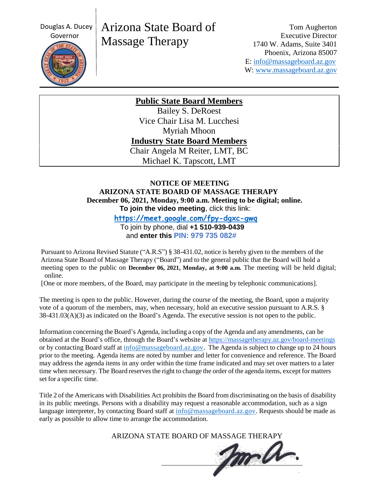Douglas A. Ducey



# Arizona State Board of Massage Therapy

Tom Augherton Executive Director 1740 W. Adams, Suite 3401 Phoenix, Arizona 85007 E: [info@massageboard.az.gov](mailto:info@massageboard.az.gov) W: [www.massageboard.az.gov](http://www.massageboard.az.gov/)

**Public State Board Members**

Bailey S. DeRoest Vice Chair Lisa M. Lucchesi Myriah Mhoon **Industry State Board Members** Chair Angela M Reiter, LMT, BC Michael K. Tapscott, LMT

### **NOTICE OF MEETING ARIZONA STATE BOARD OF MASSAGE THERAPY December 06, 2021, Monday, 9:00 a.m. Meeting to be digital; online. To join the video meeting**, click this link:

 **<https://meet.google.com/fpy-dgxc-gwq>**

To join by phone, dial **+1 510-939-0439**

and **enter this PIN: 979 735 082#**

Pursuant to Arizona Revised Statute ("A.R.S") § 38-431.02, notice is hereby given to the members of the Arizona State Board of Massage Therapy ("Board") and to the general public that the Board will hold a meeting open to the public on **December 06, 2021, Monday, at 9:00 a.m.** The meeting will be held digital; online.

[One or more members, of the Board, may participate in the meeting by telephonic communications].

The meeting is open to the public. However, during the course of the meeting, the Board, upon a majority vote of a quorum of the members, may, when necessary, hold an executive session pursuant to A.R.S. § 38-431.03(A)(3) as indicated on the Board's Agenda. The executive session is not open to the public.

Information concerning the Board's Agenda, including a copy of the Agenda and any amendments, can be obtained at the Board's office, through the Board's website at<https://massagetherapy.az.gov/board-meetings> or by contacting Board staff at [info@massageboard.az.gov.](mailto:info@massageboard.az.gov) The Agenda is subject to change up to 24 hours prior to the meeting. Agenda items are noted by number and letter for convenience and reference. The Board may address the agenda items in any order within the time frame indicated and may set over matters to a later time when necessary. The Board reserves the right to change the order of the agenda items, except for matters set for a specific time.

Title 2 of the Americans with Disabilities Act prohibits the Board from discriminating on the basis of disability in its public meetings. Persons with a disability may request a reasonable accommodation, such as a sign language interpreter, by contacting Board staff at [info@massageboard.az.gov.](mailto:info@massageboard.az.gov) Requests should be made as early as possible to allow time to arrange the accommodation.

ARIZONA STATE BOARD OF MASSAGE THERAPY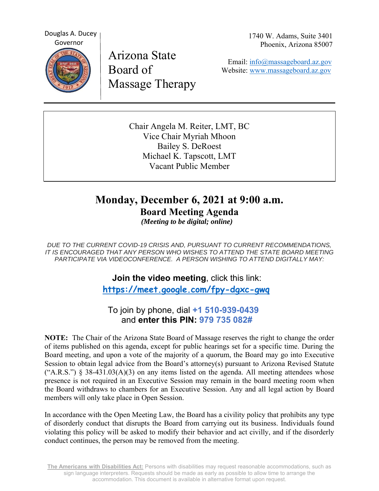Douglas A. Ducey Governor  $\sum_{i=1}^{n}$ 

 Arizona State Board of Massage Therapy 1740 W. Adams, Suite 3401 Phoenix, Arizona 85007

Email: info@massageboard.az.gov Website: www.massageboard.az.gov

Chair Angela M. Reiter, LMT, BC Vice Chair Myriah Mhoon Bailey S. DeRoest Michael K. Tapscott, LMT Vacant Public Member

## **Monday, December 6, 2021 at 9:00 a.m. Board Meeting Agenda**

 *(Meeting to be digital; online)* 

*DUE TO THE CURRENT COVID-19 CRISIS AND, PURSUANT TO CURRENT RECOMMENDATIONS, IT IS ENCOURAGED THAT ANY PERSON WHO WISHES TO ATTEND THE STATE BOARD MEETING PARTICIPATE VIA VIDEOCONFERENCE. A PERSON WISHING TO ATTEND DIGITALLY MAY:* 

> **Join the video meeting**, click this link:  **https://meet.google.com/fpy-dgxc-gwq**

 To join by phone, dial **+1 510-939-0439**  and **enter this PIN: 979 735 082#**

**NOTE:** The Chair of the Arizona State Board of Massage reserves the right to change the order of items published on this agenda, except for public hearings set for a specific time. During the Board meeting, and upon a vote of the majority of a quorum, the Board may go into Executive Session to obtain legal advice from the Board's attorney(s) pursuant to Arizona Revised Statute  $("A.R.S.")$  § 38-431.03(A)(3) on any items listed on the agenda. All meeting attendees whose presence is not required in an Executive Session may remain in the board meeting room when the Board withdraws to chambers for an Executive Session. Any and all legal action by Board members will only take place in Open Session.

In accordance with the Open Meeting Law, the Board has a civility policy that prohibits any type of disorderly conduct that disrupts the Board from carrying out its business. Individuals found violating this policy will be asked to modify their behavior and act civilly, and if the disorderly conduct continues, the person may be removed from the meeting.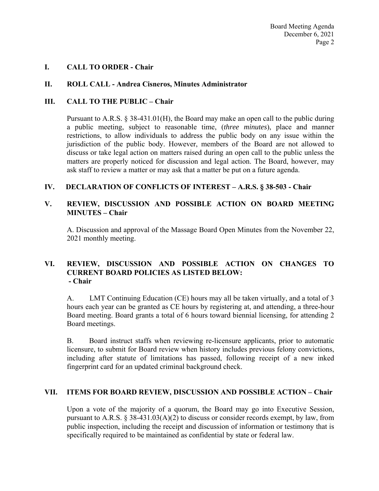#### **I. CALL TO ORDER - Chair**

#### **II. ROLL CALL - Andrea Cisneros, Minutes Administrator**

#### **III. CALL TO THE PUBLIC – Chair**

Pursuant to A.R.S. § 38-431.01(H), the Board may make an open call to the public during a public meeting, subject to reasonable time, (*three minutes*), place and manner restrictions, to allow individuals to address the public body on any issue within the jurisdiction of the public body. However, members of the Board are not allowed to discuss or take legal action on matters raised during an open call to the public unless the matters are properly noticed for discussion and legal action. The Board, however, may ask staff to review a matter or may ask that a matter be put on a future agenda.

#### **IV. DECLARATION OF CONFLICTS OF INTEREST – A.R.S. § 38-503 - Chair**

#### **V. REVIEW, DISCUSSION AND POSSIBLE ACTION ON BOARD MEETING MINUTES – Chair**

A. Discussion and approval of the Massage Board Open Minutes from the November 22, 2021 monthly meeting.

#### **VI. REVIEW, DISCUSSION AND POSSIBLE ACTION ON CHANGES TO CURRENT BOARD POLICIES AS LISTED BELOW: - Chair**

A.LMT Continuing Education (CE) hours may all be taken virtually, and a total of 3 hours each year can be granted as CE hours by registering at, and attending, a three-hour Board meeting. Board grants a total of 6 hours toward biennial licensing, for attending 2 Board meetings.

B. Board instruct staffs when reviewing re-licensure applicants, prior to automatic licensure, to submit for Board review when history includes previous felony convictions, including after statute of limitations has passed, following receipt of a new inked fingerprint card for an updated criminal background check.

#### **VII. ITEMS FOR BOARD REVIEW, DISCUSSION AND POSSIBLE ACTION – Chair**

Upon a vote of the majority of a quorum, the Board may go into Executive Session, pursuant to A.R.S.  $\S 38-431.03(A)(2)$  to discuss or consider records exempt, by law, from public inspection, including the receipt and discussion of information or testimony that is specifically required to be maintained as confidential by state or federal law.